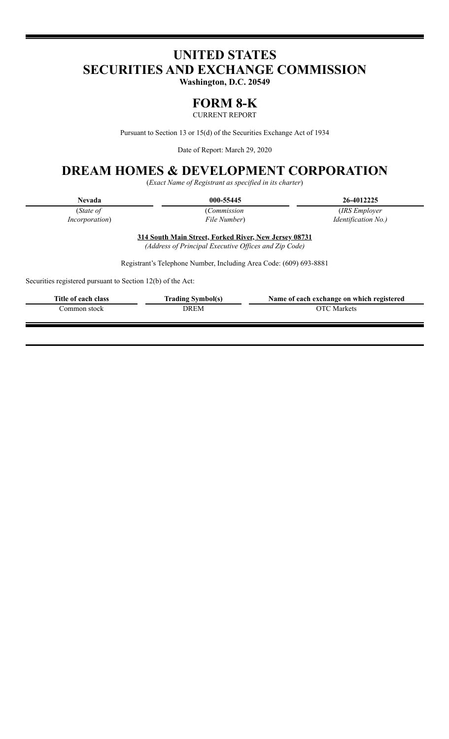# **UNITED STATES SECURITIES AND EXCHANGE COMMISSION**

**Washington, D.C. 20549**

## **FORM 8-K**

CURRENT REPORT

Pursuant to Section 13 or 15(d) of the Securities Exchange Act of 1934

Date of Report: March 29, 2020

## **DREAM HOMES & DEVELOPMENT CORPORATION**

(*Exact Name of Registrant as specified in its charter*)

| 000-55445 | 26-4012225 |
|-----------|------------|
|           |            |

(*State of Incorporation*) (*Commission File Number*)

(*IRS Employer Identification No.)*

**314 South Main Street, Forked River, New Jersey 08731** *(Address of Principal Executive Of ices and Zip Code)*

Registrant's Telephone Number, Including Area Code: (609) 693-8881

Securities registered pursuant to Section 12(b) of the Act:

| Title of each class | <b>Trading Symbol(s)</b> | Name of each exchange on which registered |
|---------------------|--------------------------|-------------------------------------------|
| .`ommon stock       | DREM                     | OTC Markets                               |
|                     |                          |                                           |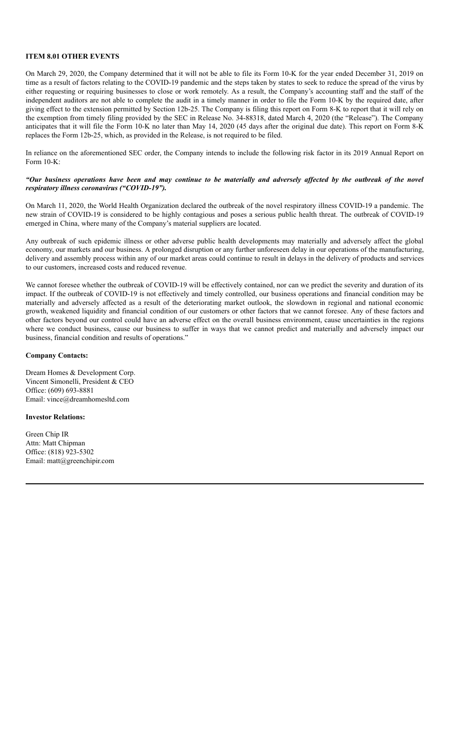#### **ITEM 8.01 OTHER EVENTS**

On March 29, 2020, the Company determined that it will not be able to file its Form 10-K for the year ended December 31, 2019 on time as a result of factors relating to the COVID-19 pandemic and the steps taken by states to seek to reduce the spread of the virus by either requesting or requiring businesses to close or work remotely. As a result, the Company's accounting staff and the staff of the independent auditors are not able to complete the audit in a timely manner in order to file the Form 10-K by the required date, after giving effect to the extension permitted by Section 12b-25. The Company is filing this report on Form 8-K to report that it will rely on the exemption from timely filing provided by the SEC in Release No. 34-88318, dated March 4, 2020 (the "Release"). The Company anticipates that it will file the Form 10-K no later than May 14, 2020 (45 days after the original due date). This report on Form 8-K replaces the Form 12b-25, which, as provided in the Release, is not required to be filed.

In reliance on the aforementioned SEC order, the Company intends to include the following risk factor in its 2019 Annual Report on Form 10-K:

#### "Our business operations have been and may continue to be materially and adversely affected by the outbreak of the novel *respiratory illness coronavirus ("COVID-19").*

On March 11, 2020, the World Health Organization declared the outbreak of the novel respiratory illness COVID-19 a pandemic. The new strain of COVID-19 is considered to be highly contagious and poses a serious public health threat. The outbreak of COVID-19 emerged in China, where many of the Company's material suppliers are located.

Any outbreak of such epidemic illness or other adverse public health developments may materially and adversely affect the global economy, our markets and our business. A prolonged disruption or any further unforeseen delay in our operations of the manufacturing, delivery and assembly process within any of our market areas could continue to result in delays in the delivery of products and services to our customers, increased costs and reduced revenue.

We cannot foresee whether the outbreak of COVID-19 will be effectively contained, nor can we predict the severity and duration of its impact. If the outbreak of COVID-19 is not effectively and timely controlled, our business operations and financial condition may be materially and adversely affected as a result of the deteriorating market outlook, the slowdown in regional and national economic growth, weakened liquidity and financial condition of our customers or other factors that we cannot foresee. Any of these factors and other factors beyond our control could have an adverse effect on the overall business environment, cause uncertainties in the regions where we conduct business, cause our business to suffer in ways that we cannot predict and materially and adversely impact our business, financial condition and results of operations."

#### **Company Contacts:**

Dream Homes & Development Corp. Vincent Simonelli, President & CEO Office: (609) 693-8881 Email: vince@dreamhomesltd.com

#### **Investor Relations:**

Green Chip IR Attn: Matt Chipman Office: (818) 923-5302 Email: matt@greenchipir.com